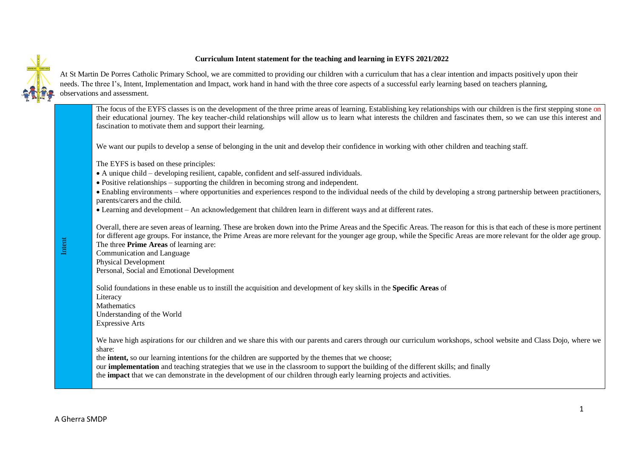## **Curriculum Intent statement for the teaching and learning in EYFS 2021/2022**



At St Martin De Porres Catholic Primary School, we are committed to providing our children with a curriculum that has a clear intention and impacts positively upon their needs. The three I's, Intent, Implementation and Impact, work hand in hand with the three core aspects of a successful early learning based on teachers planning, observations and assessment.

The focus of the EYFS classes is on the development of the three prime areas of learning. Establishing key relationships with our children is the first stepping stone on their educational journey. The key teacher-child relationships will allow us to learn what interests the children and fascinates them, so we can use this interest and fascination to motivate them and support their learning.

We want our pupils to develop a sense of belonging in the unit and develop their confidence in working with other children and teaching staff.

The EYFS is based on these principles:

- A unique child developing resilient, capable, confident and self-assured individuals.
- Positive relationships supporting the children in becoming strong and independent.
- Enabling environments where opportunities and experiences respond to the individual needs of the child by developing a strong partnership between practitioners, parents/carers and the child.

Learning and development – An acknowledgement that children learn in different ways and at different rates.

Overall, there are seven areas of learning. These are broken down into the Prime Areas and the Specific Areas. The reason for this is that each of these is more pertinent for different age groups. For instance, the Prime Areas are more relevant for the younger age group, while the Specific Areas are more relevant for the older age group. The three **Prime Areas** of learning are: Communication and Language

Physical Development Personal, Social and Emotional Development

Solid foundations in these enable us to instill the acquisition and development of key skills in the **Specific Areas** of Literacy **Mathematics** Understanding of the World Expressive Arts

We have high aspirations for our children and we share this with our parents and carers through our curriculum workshops, school website and Class Dojo, where we share:

the **intent,** so our learning intentions for the children are supported by the themes that we choose;

our **implementation** and teaching strategies that we use in the classroom to support the building of the different skills; and finally

the **impact** that we can demonstrate in the development of our children through early learning projects and activities.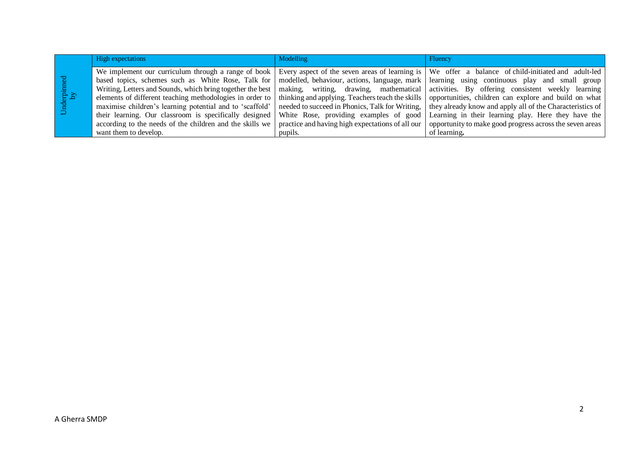|                | <b>High expectations</b>                                                                                                                                                                                                                                                                        | <b>Modelling</b>                                                                                                                                                                                                                                | Fluency                                                                                                                                                                                                                                                                           |
|----------------|-------------------------------------------------------------------------------------------------------------------------------------------------------------------------------------------------------------------------------------------------------------------------------------------------|-------------------------------------------------------------------------------------------------------------------------------------------------------------------------------------------------------------------------------------------------|-----------------------------------------------------------------------------------------------------------------------------------------------------------------------------------------------------------------------------------------------------------------------------------|
| Underpinned by | We implement our curriculum through a range of book<br>based topics, schemes such as White Rose, Talk for<br>Writing, Letters and Sounds, which bring together the best<br>elements of different teaching methodologies in order to<br>maximise children's learning potential and to 'scaffold' | Every aspect of the seven areas of learning is<br>modelled, behaviour, actions, language, mark<br>making, writing, drawing, mathematical<br>thinking and applying. Teachers teach the skills<br>needed to succeed in Phonics, Talk for Writing, | We offer a balance of child-initiated and adult-led<br>learning using continuous play and small group<br>activities. By offering consistent weekly learning<br>opportunities, children can explore and build on what<br>they already know and apply all of the Characteristics of |
|                | their learning. Our classroom is specifically designed<br>according to the needs of the children and the skills we<br>want them to develop.                                                                                                                                                     | White Rose, providing examples of good<br>practice and having high expectations of all our<br>pupils.                                                                                                                                           | Learning in their learning play. Here they have the<br>opportunity to make good progress across the seven areas<br>of learning.                                                                                                                                                   |
|                |                                                                                                                                                                                                                                                                                                 |                                                                                                                                                                                                                                                 |                                                                                                                                                                                                                                                                                   |
|                |                                                                                                                                                                                                                                                                                                 |                                                                                                                                                                                                                                                 |                                                                                                                                                                                                                                                                                   |
|                |                                                                                                                                                                                                                                                                                                 |                                                                                                                                                                                                                                                 |                                                                                                                                                                                                                                                                                   |
|                |                                                                                                                                                                                                                                                                                                 |                                                                                                                                                                                                                                                 |                                                                                                                                                                                                                                                                                   |
|                |                                                                                                                                                                                                                                                                                                 |                                                                                                                                                                                                                                                 |                                                                                                                                                                                                                                                                                   |
|                |                                                                                                                                                                                                                                                                                                 |                                                                                                                                                                                                                                                 |                                                                                                                                                                                                                                                                                   |
|                |                                                                                                                                                                                                                                                                                                 |                                                                                                                                                                                                                                                 |                                                                                                                                                                                                                                                                                   |
|                |                                                                                                                                                                                                                                                                                                 |                                                                                                                                                                                                                                                 |                                                                                                                                                                                                                                                                                   |
|                |                                                                                                                                                                                                                                                                                                 |                                                                                                                                                                                                                                                 |                                                                                                                                                                                                                                                                                   |
|                |                                                                                                                                                                                                                                                                                                 |                                                                                                                                                                                                                                                 |                                                                                                                                                                                                                                                                                   |
| A Gherra SMDP  |                                                                                                                                                                                                                                                                                                 |                                                                                                                                                                                                                                                 | $\overline{2}$                                                                                                                                                                                                                                                                    |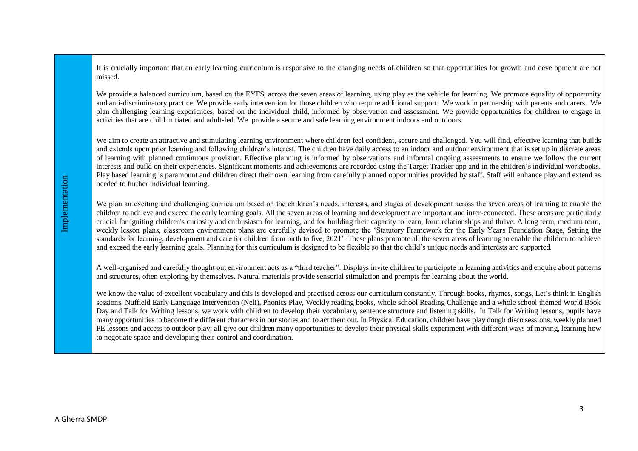It is crucially important that an early learning curriculum is responsive to the changing needs of children so that opportunities for growth and development are not missed.

We provide a balanced curriculum, based on the EYFS, across the seven areas of learning, using play as the vehicle for learning. We promote equality of opportunity and anti-discriminatory practice. We provide early intervention for those children who require additional support. We work in partnership with parents and carers. We plan challenging learning experiences, based on the individual child, informed by observation and assessment. We provide opportunities for children to engage in activities that are child initiated and adult-led. We provide a secure and safe learning environment indoors and outdoors.

We aim to create an attractive and stimulating learning environment where children feel confident, secure and challenged. You will find, effective learning that builds and extends upon prior learning and following children's interest. The children have daily access to an indoor and outdoor environment that is set up in discrete areas of learning with planned continuous provision. Effective planning is informed by observations and informal ongoing assessments to ensure we follow the current interests and build on their experiences. Significant moments and achievements are recorded using the Target Tracker app and in the children's individual workbooks. Play based learning is paramount and children direct their own learning from carefully planned opportunities provided by staff. Staff will enhance play and extend as needed to further individual learning.

We plan an exciting and challenging curriculum based on the children's needs, interests, and stages of development across the seven areas of learning to enable the children to achieve and exceed the early learning goals. All the seven areas of learning and development are important and inter-connected. These areas are particularly crucial for igniting children's curiosity and enthusiasm for learning, and for building their capacity to learn, form relationships and thrive. A long term, medium term, weekly lesson plans, classroom environment plans are carefully devised to promote the 'Statutory Framework for the Early Years Foundation Stage, Setting the standards for learning, development and care for children from birth to five, 2021'. These plans promote all the seven areas of learning to enable the children to achieve and exceed the early learning goals. Planning for this curriculum is designed to be flexible so that the child's unique needs and interests are supported.

A well-organised and carefully thought out environment acts as a "third teacher". Displays invite children to participate in learning activities and enquire about patterns and structures, often exploring by themselves. Natural materials provide sensorial stimulation and prompts for learning about the world.

We know the value of excellent vocabulary and this is developed and practised across our curriculum constantly. Through books, rhymes, songs, Let's think in English sessions, Nuffield Early Language Intervention (Neli), Phonics Play, Weekly reading books, whole school Reading Challenge and a whole school themed World Book Day and Talk for Writing lessons, we work with children to develop their vocabulary, sentence structure and listening skills. In Talk for Writing lessons, pupils have many opportunities to become the different characters in our stories and to act them out. In Physical Education, children have play dough disco sessions, weekly planned PE lessons and access to outdoor play; all give our children many opportunities to develop their physical skills experiment with different ways of moving, learning how to negotiate space and developing their control and coordination.